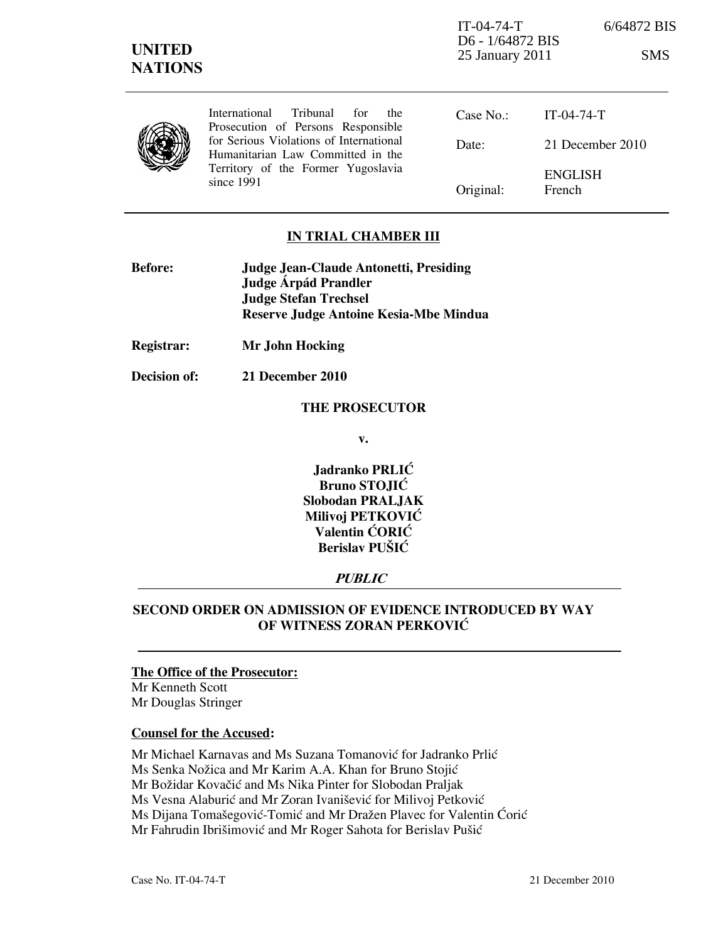IT-04-74-T 6/64872 BIS D6 - 1/64872 BIS 25 January 2011 SMS

International Tribunal for the Prosecution of Persons Responsible for Serious Violations of International Humanitarian Law Committed in the Territory of the Former Yugoslavia since 1991

Case No.: Date: Original: IT-04-74-T 21 December 2010 ENGLISH French

## IN TRIAL CHAMBER III

| <b>Before:</b> | <b>Judge Jean-Claude Antonetti, Presiding</b> |
|----------------|-----------------------------------------------|
|                | Judge Árpád Prandler                          |
|                | <b>Judge Stefan Trechsel</b>                  |
|                | Reserve Judge Antoine Kesia-Mbe Mindua        |

Registrar: Mr John Hocking

Decision of: 21 December 2010

#### THE PROSECUTOR

v.

Jadranko PRLIĆ Bruno STOJIĆ Slobodan PRALJAK Milivoj PETKOVIĆ Valentin ĆORIĆ Berislav PUŠIĆ

### **PUBLIC**

## SECOND ORDER ON ADMISSION OF EVIDENCE INTRODUCED BY WAY OF WITNESS ZORAN PERKOVIĆ

#### The Office of the Prosecutor:

Mr Kenneth Scott Mr Douglas Stringer

#### Counsel for the Accused:

Mr Michael Karnavas and Ms Suzana Tomanović for Jadranko Prlić

Ms Senka Nožica and Mr Karim A.A. Khan for Bruno Stojić

Mr Božidar Kovačić and Ms Nika Pinter for Slobodan Praljak

Ms Vesna Alaburić and Mr Zoran Ivanišević for Milivoj Petković

Ms Dijana Tomašegović-Tomić and Mr Dražen Plavec for Valentin Ćorić

Mr Fahrudin Ibrišimović and Mr Roger Sahota for Berislav Pušić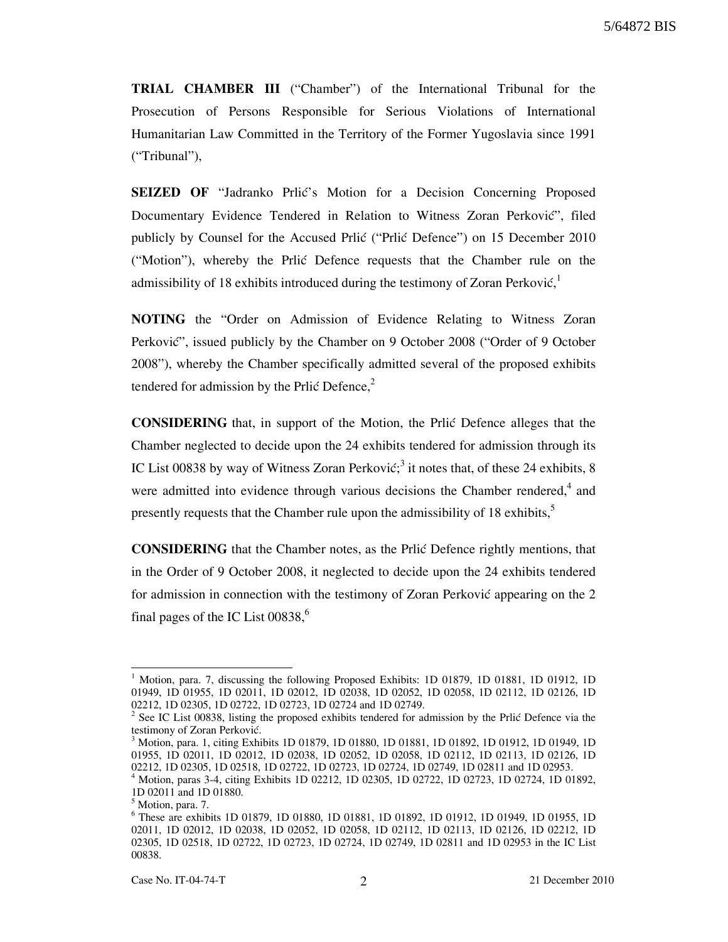TRIAL CHAMBER III ("Chamber") of the International Tribunal for the Prosecution of Persons Responsible for Serious Violations of International Humanitarian Law Committed in the Territory of the Former Yugoslavia since 1991 ("Tribunal"),

SEIZED OF "Jadranko Prlić's Motion for a Decision Concerning Proposed Documentary Evidence Tendered in Relation to Witness Zoran Perković", filed publicly by Counsel for the Accused Prlić ("Prlić Defence") on 15 December 2010 ("Motion"), whereby the Prlic Defence requests that the Chamber rule on the admissibility of 18 exhibits introduced during the testimony of Zoran Perković,<sup>1</sup>

NOTING the "Order on Admission of Evidence Relating to Witness Zoran Perković", issued publicly by the Chamber on 9 October 2008 ("Order of 9 October 2008"), whereby the Chamber specifically admitted several of the proposed exhibits tendered for admission by the Prlić Defence, $2$ 

CONSIDERING that, in support of the Motion, the Prli} Defence alleges that the Chamber neglected to decide upon the 24 exhibits tendered for admission through its IC List 00838 by way of Witness Zoran Perković;<sup>3</sup> it notes that, of these 24 exhibits, 8 were admitted into evidence through various decisions the Chamber rendered, $4$  and presently requests that the Chamber rule upon the admissibility of 18 exhibits,<sup>5</sup>

CONSIDERING that the Chamber notes, as the Prli} Defence rightly mentions, that in the Order of 9 October 2008, it neglected to decide upon the 24 exhibits tendered for admission in connection with the testimony of Zoran Perković appearing on the  $2$ final pages of the IC List  $00838$ ,<sup>6</sup>

-

<sup>&</sup>lt;sup>1</sup> Motion, para. 7, discussing the following Proposed Exhibits: 1D 01879, 1D 01881, 1D 01912, 1D 01949, 1D 01955, 1D 02011, 1D 02012, 1D 02038, 1D 02052, 1D 02058, 1D 02112, 1D 02126, 1D 02212, 1D 02305, 1D 02722, 1D 02723, 1D 02724 and 1D 02749.

 $2^2$  See IC List 00838, listing the proposed exhibits tendered for admission by the Prlić Defence via the testimony of Zoran Perković.

<sup>&</sup>lt;sup>3</sup> Motion, para. 1, citing Exhibits 1D 01879, 1D 01880, 1D 01881, 1D 01892, 1D 01912, 1D 01949, 1D 01955, 1D 02011, 1D 02012, 1D 02038, 1D 02052, 1D 02058, 1D 02112, 1D 02113, 1D 02126, 1D 02212, 1D 02305, 1D 02518, 1D 02722, 1D 02723, 1D 02724, 1D 02749, 1D 02811 and 1D 02953.

<sup>4</sup> Motion, paras 3-4, citing Exhibits 1D 02212, 1D 02305, 1D 02722, 1D 02723, 1D 02724, 1D 01892, 1D 02011 and 1D 01880.

<sup>&</sup>lt;sup>5</sup> Motion, para. 7.

<sup>6</sup> These are exhibits 1D 01879, 1D 01880, 1D 01881, 1D 01892, 1D 01912, 1D 01949, 1D 01955, 1D 02011, 1D 02012, 1D 02038, 1D 02052, 1D 02058, 1D 02112, 1D 02113, 1D 02126, 1D 02212, 1D 02305, 1D 02518, 1D 02722, 1D 02723, 1D 02724, 1D 02749, 1D 02811 and 1D 02953 in the IC List 00838.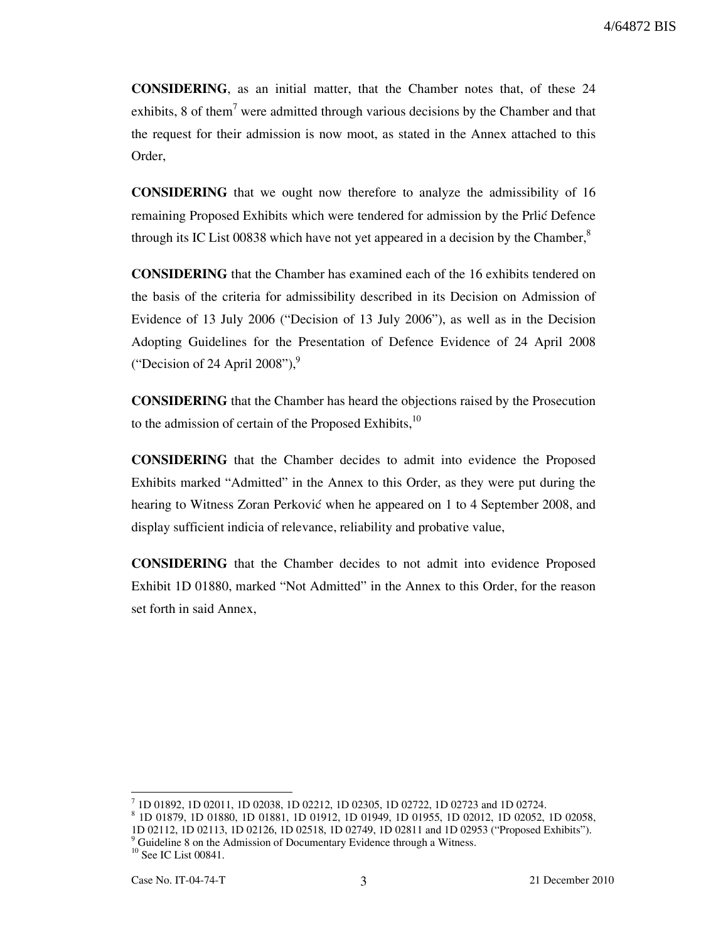CONSIDERING, as an initial matter, that the Chamber notes that, of these 24 exhibits, 8 of them<sup>7</sup> were admitted through various decisions by the Chamber and that the request for their admission is now moot, as stated in the Annex attached to this Order,

CONSIDERING that we ought now therefore to analyze the admissibility of 16 remaining Proposed Exhibits which were tendered for admission by the Prlić Defence through its IC List 00838 which have not yet appeared in a decision by the Chamber, $\delta$ 

CONSIDERING that the Chamber has examined each of the 16 exhibits tendered on the basis of the criteria for admissibility described in its Decision on Admission of Evidence of 13 July 2006 ("Decision of 13 July 2006"), as well as in the Decision Adopting Guidelines for the Presentation of Defence Evidence of 24 April 2008 ("Decision of 24 April 2008"), $\degree$ 

CONSIDERING that the Chamber has heard the objections raised by the Prosecution to the admission of certain of the Proposed Exhibits, $10$ 

CONSIDERING that the Chamber decides to admit into evidence the Proposed Exhibits marked "Admitted" in the Annex to this Order, as they were put during the hearing to Witness Zoran Perković when he appeared on 1 to 4 September 2008, and display sufficient indicia of relevance, reliability and probative value,

CONSIDERING that the Chamber decides to not admit into evidence Proposed Exhibit 1D 01880, marked "Not Admitted" in the Annex to this Order, for the reason set forth in said Annex,

-

<sup>7</sup> 1D 01892, 1D 02011, 1D 02038, 1D 02212, 1D 02305, 1D 02722, 1D 02723 and 1D 02724.

<sup>8</sup> 1D 01879, 1D 01880, 1D 01881, 1D 01912, 1D 01949, 1D 01955, 1D 02012, 1D 02052, 1D 02058, 1D 02112, 1D 02113, 1D 02126, 1D 02518, 1D 02749, 1D 02811 and 1D 02953 ("Proposed Exhibits").

<sup>&</sup>lt;sup>9</sup> Guideline 8 on the Admission of Documentary Evidence through a Witness.

<sup>&</sup>lt;sup>10</sup> See IC List 00841.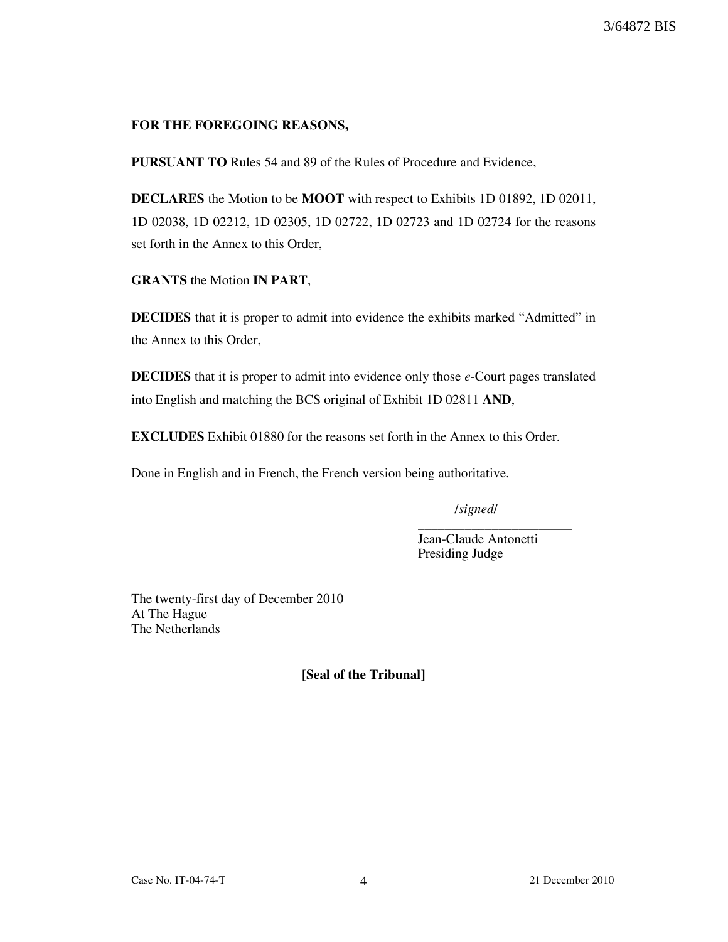## FOR THE FOREGOING REASONS,

PURSUANT TO Rules 54 and 89 of the Rules of Procedure and Evidence,

DECLARES the Motion to be MOOT with respect to Exhibits 1D 01892, 1D 02011, 1D 02038, 1D 02212, 1D 02305, 1D 02722, 1D 02723 and 1D 02724 for the reasons set forth in the Annex to this Order,

GRANTS the Motion IN PART,

DECIDES that it is proper to admit into evidence the exhibits marked "Admitted" in the Annex to this Order,

DECIDES that it is proper to admit into evidence only those e-Court pages translated into English and matching the BCS original of Exhibit 1D 02811 AND,

EXCLUDES Exhibit 01880 for the reasons set forth in the Annex to this Order.

Done in English and in French, the French version being authoritative.

/signed/

Jean-Claude Antonetti Presiding Judge

\_\_\_\_\_\_\_\_\_\_\_\_\_\_\_\_\_\_\_\_\_\_\_

The twenty-first day of December 2010 At The Hague The Netherlands

[Seal of the Tribunal]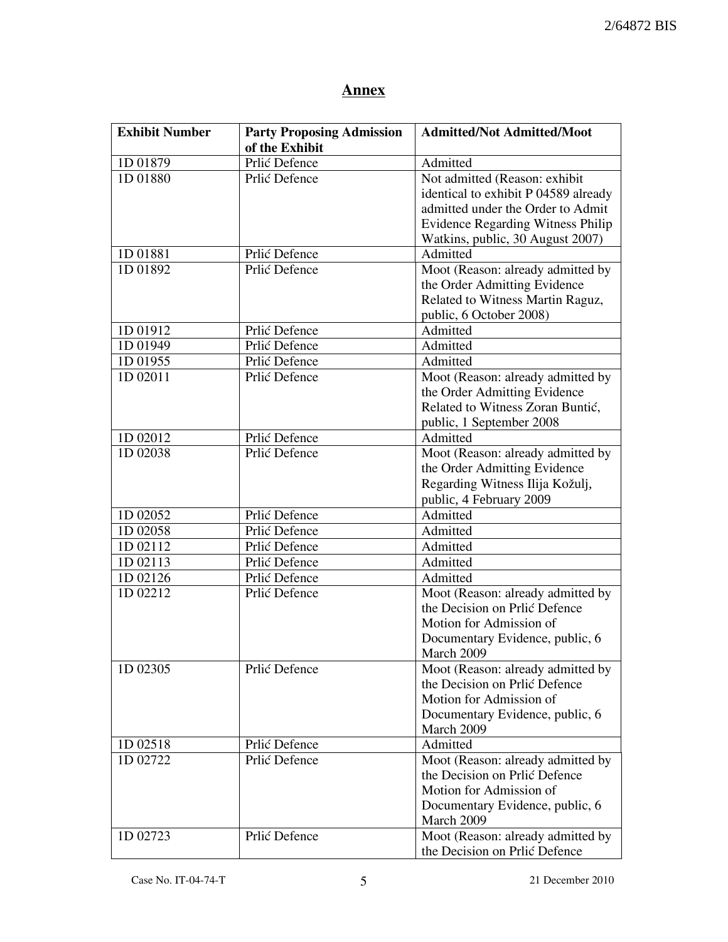# **Annex**

| <b>Exhibit Number</b> | <b>Party Proposing Admission</b> | <b>Admitted/Not Admitted/Moot</b>        |
|-----------------------|----------------------------------|------------------------------------------|
|                       | of the Exhibit                   |                                          |
| 1D 01879              | Prlić Defence                    | Admitted                                 |
| 1D 01880              | Prlić Defence                    | Not admitted (Reason: exhibit            |
|                       |                                  | identical to exhibit P 04589 already     |
|                       |                                  | admitted under the Order to Admit        |
|                       |                                  | <b>Evidence Regarding Witness Philip</b> |
|                       |                                  | Watkins, public, 30 August 2007)         |
| 1D 01881              | Prlić Defence                    | Admitted                                 |
| 1D 01892              | Prlić Defence                    | Moot (Reason: already admitted by        |
|                       |                                  | the Order Admitting Evidence             |
|                       |                                  | Related to Witness Martin Raguz,         |
|                       |                                  | public, 6 October 2008)                  |
| 1D 01912              | Prlić Defence                    | Admitted                                 |
| 1D 01949              | Prlić Defence                    | Admitted                                 |
| 1D 01955              | Prlić Defence                    | Admitted                                 |
| 1D 02011              | Prlić Defence                    | Moot (Reason: already admitted by        |
|                       |                                  | the Order Admitting Evidence             |
|                       |                                  | Related to Witness Zoran Buntić,         |
|                       |                                  | public, 1 September 2008                 |
| 1D 02012              | Prlić Defence                    | Admitted                                 |
| 1D 02038              | Prlić Defence                    | Moot (Reason: already admitted by        |
|                       |                                  | the Order Admitting Evidence             |
|                       |                                  | Regarding Witness Ilija Kožulj,          |
|                       |                                  | public, 4 February 2009                  |
| 1D 02052              | Prlić Defence                    | Admitted                                 |
| 1D 02058              | Prlić Defence                    | Admitted                                 |
| 1D 02112              | Prlić Defence                    | Admitted                                 |
| 1D 02113              | Prlić Defence                    | Admitted                                 |
| 1D 02126              | Prlić Defence                    | Admitted                                 |
| 1D 02212              | Prlić Defence                    | Moot (Reason: already admitted by        |
|                       |                                  | the Decision on Prlić Defence            |
|                       |                                  | Motion for Admission of                  |
|                       |                                  | Documentary Evidence, public, 6          |
|                       |                                  | March 2009                               |
| 1D 02305              | Prlić Defence                    | Moot (Reason: already admitted by        |
|                       |                                  | the Decision on Prlić Defence            |
|                       |                                  | Motion for Admission of                  |
|                       |                                  | Documentary Evidence, public, 6          |
|                       |                                  | March 2009                               |
| 1D 02518              | Prlić Defence                    | Admitted                                 |
| 1D 02722              | Prlić Defence                    | Moot (Reason: already admitted by        |
|                       |                                  | the Decision on Prlić Defence            |
|                       |                                  | Motion for Admission of                  |
|                       |                                  | Documentary Evidence, public, 6          |
|                       |                                  | March 2009                               |
| 1D 02723              | Prlić Defence                    | Moot (Reason: already admitted by        |
|                       |                                  | the Decision on Prlić Defence            |